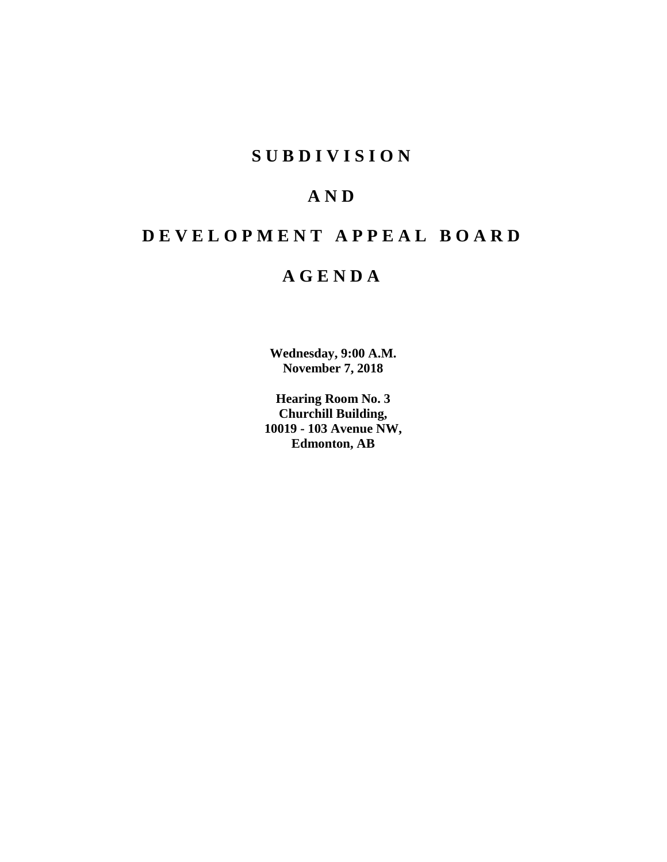# **SUBDIVISION**

# **AND**

# **DEVELOPMENT APPEAL BOARD**

# **AGENDA**

**Wednesday, 9:00 A.M. November 7, 2018**

**Hearing Room No. 3 Churchill Building, 10019 - 103 Avenue NW, Edmonton, AB**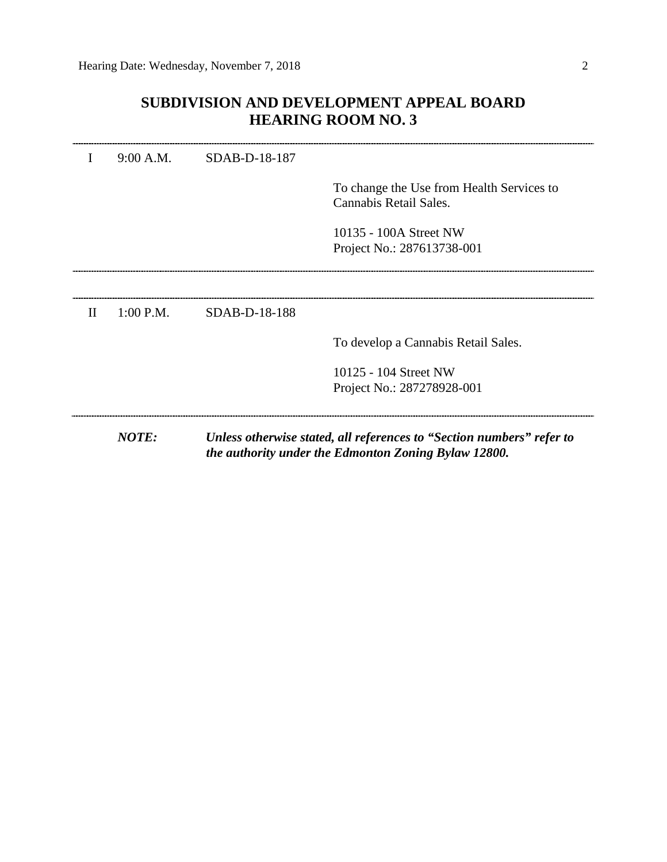# **SUBDIVISION AND DEVELOPMENT APPEAL BOARD HEARING ROOM NO. 3**

|              | <b>NOTE:</b> |               | Unless otherwise stated, all references to "Section numbers" refer to<br>the authority under the Edmonton Zoning Bylaw 12800. |
|--------------|--------------|---------------|-------------------------------------------------------------------------------------------------------------------------------|
|              |              |               | 10125 - 104 Street NW<br>Project No.: 287278928-001                                                                           |
|              |              |               | To develop a Cannabis Retail Sales.                                                                                           |
| $\mathbf{H}$ | $1:00$ P.M.  | SDAB-D-18-188 |                                                                                                                               |
|              |              |               |                                                                                                                               |
|              |              |               | 10135 - 100A Street NW<br>Project No.: 287613738-001                                                                          |
|              |              |               | To change the Use from Health Services to<br>Cannabis Retail Sales.                                                           |
|              | 9:00 A.M.    | SDAB-D-18-187 |                                                                                                                               |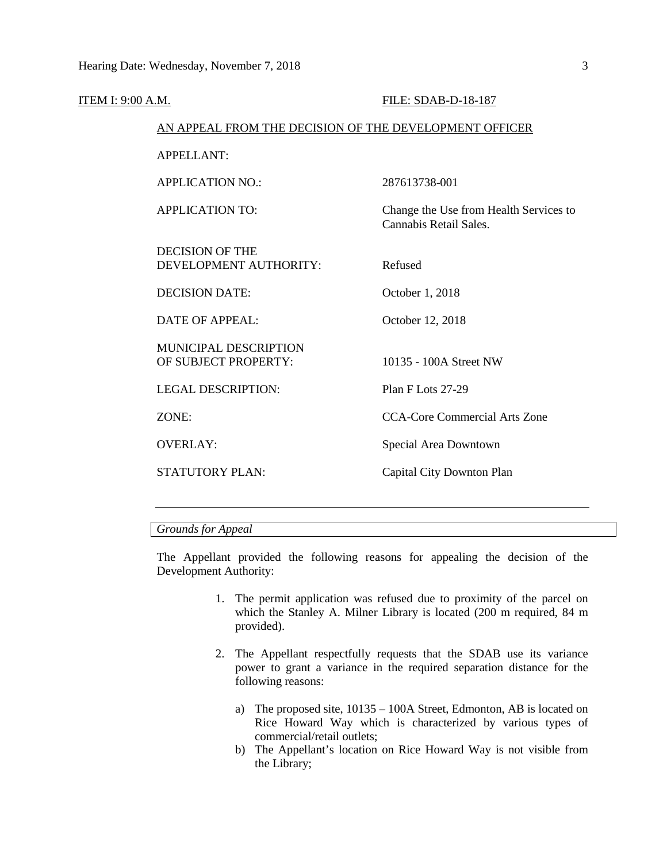| ITEM I: 9:00 A.M. |                                                        | FILE: SDAB-D-18-187                                              |  |  |  |
|-------------------|--------------------------------------------------------|------------------------------------------------------------------|--|--|--|
|                   | AN APPEAL FROM THE DECISION OF THE DEVELOPMENT OFFICER |                                                                  |  |  |  |
|                   | <b>APPELLANT:</b>                                      |                                                                  |  |  |  |
|                   | <b>APPLICATION NO.:</b>                                | 287613738-001                                                    |  |  |  |
|                   | <b>APPLICATION TO:</b>                                 | Change the Use from Health Services to<br>Cannabis Retail Sales. |  |  |  |
|                   | <b>DECISION OF THE</b><br>DEVELOPMENT AUTHORITY:       | Refused                                                          |  |  |  |
|                   | <b>DECISION DATE:</b>                                  | October 1, 2018                                                  |  |  |  |
|                   | <b>DATE OF APPEAL:</b>                                 | October 12, 2018                                                 |  |  |  |
|                   | <b>MUNICIPAL DESCRIPTION</b><br>OF SUBJECT PROPERTY:   | 10135 - 100A Street NW                                           |  |  |  |
|                   | <b>LEGAL DESCRIPTION:</b>                              | Plan F Lots 27-29                                                |  |  |  |
|                   | ZONE:                                                  | <b>CCA-Core Commercial Arts Zone</b>                             |  |  |  |
|                   | <b>OVERLAY:</b>                                        | Special Area Downtown                                            |  |  |  |
|                   | <b>STATUTORY PLAN:</b>                                 | Capital City Downton Plan                                        |  |  |  |
|                   |                                                        |                                                                  |  |  |  |

# *Grounds for Appeal*

The Appellant provided the following reasons for appealing the decision of the Development Authority:

- 1. The permit application was refused due to proximity of the parcel on which the Stanley A. Milner Library is located (200 m required, 84 m provided).
- 2. The Appellant respectfully requests that the SDAB use its variance power to grant a variance in the required separation distance for the following reasons:
	- a) The proposed site, 10135 100A Street, Edmonton, AB is located on Rice Howard Way which is characterized by various types of commercial/retail outlets;
	- b) The Appellant's location on Rice Howard Way is not visible from the Library;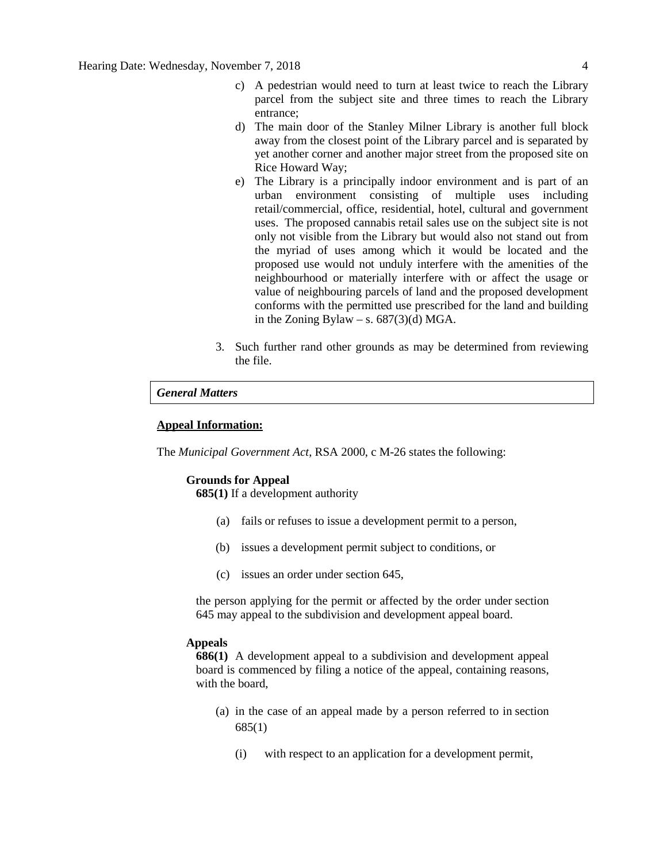- c) A pedestrian would need to turn at least twice to reach the Library parcel from the subject site and three times to reach the Library entrance;
- d) The main door of the Stanley Milner Library is another full block away from the closest point of the Library parcel and is separated by yet another corner and another major street from the proposed site on Rice Howard Way;
- e) The Library is a principally indoor environment and is part of an urban environment consisting of multiple uses including retail/commercial, office, residential, hotel, cultural and government uses. The proposed cannabis retail sales use on the subject site is not only not visible from the Library but would also not stand out from the myriad of uses among which it would be located and the proposed use would not unduly interfere with the amenities of the neighbourhood or materially interfere with or affect the usage or value of neighbouring parcels of land and the proposed development conforms with the permitted use prescribed for the land and building in the Zoning Bylaw – s.  $687(3)(d)$  MGA.
- 3. Such further rand other grounds as may be determined from reviewing the file.

### *General Matters*

# **Appeal Information:**

The *Municipal Government Act*, RSA 2000, c M-26 states the following:

## **Grounds for Appeal**

**685(1)** If a development authority

- (a) fails or refuses to issue a development permit to a person,
- (b) issues a development permit subject to conditions, or
- (c) issues an order under section 645,

the person applying for the permit or affected by the order under section 645 may appeal to the subdivision and development appeal board.

#### **Appeals**

**686(1)** A development appeal to a subdivision and development appeal board is commenced by filing a notice of the appeal, containing reasons, with the board,

- (a) in the case of an appeal made by a person referred to in section 685(1)
	- (i) with respect to an application for a development permit,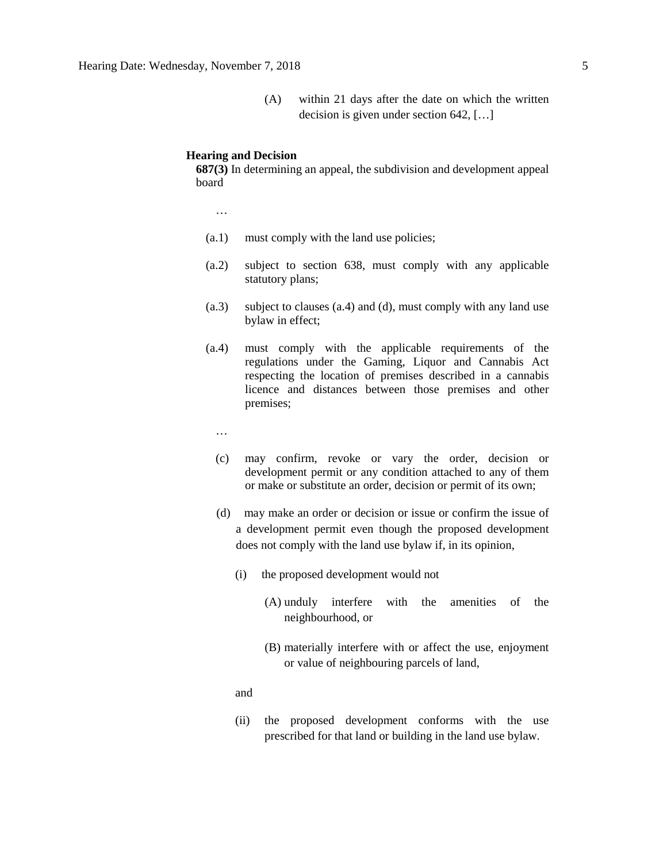(A) within 21 days after the date on which the written decision is given under section 642, […]

## **Hearing and Decision**

**687(3)** In determining an appeal, the subdivision and development appeal board

…

- (a.1) must comply with the land use policies;
- (a.2) subject to section 638, must comply with any applicable statutory plans;
- (a.3) subject to clauses (a.4) and (d), must comply with any land use bylaw in effect;
- (a.4) must comply with the applicable requirements of the regulations under the Gaming, Liquor and Cannabis Act respecting the location of premises described in a cannabis licence and distances between those premises and other premises;
	- …
	- (c) may confirm, revoke or vary the order, decision or development permit or any condition attached to any of them or make or substitute an order, decision or permit of its own;
	- (d) may make an order or decision or issue or confirm the issue of a development permit even though the proposed development does not comply with the land use bylaw if, in its opinion,
		- (i) the proposed development would not
			- (A) unduly interfere with the amenities of the neighbourhood, or
			- (B) materially interfere with or affect the use, enjoyment or value of neighbouring parcels of land,

and

(ii) the proposed development conforms with the use prescribed for that land or building in the land use bylaw.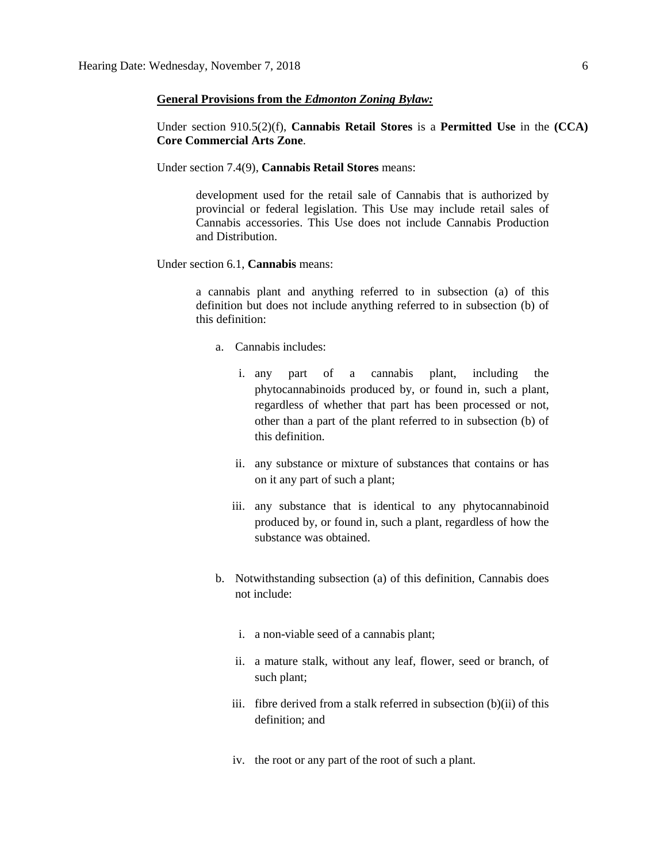### **General Provisions from the** *Edmonton Zoning Bylaw:*

Under section 910.5(2)(f), **Cannabis Retail Stores** is a **Permitted Use** in the **(CCA) Core Commercial Arts Zone**.

Under section 7.4(9), **Cannabis Retail Stores** means:

development used for the retail sale of Cannabis that is authorized by provincial or federal legislation. This Use may include retail sales of Cannabis accessories. This Use does not include Cannabis Production and Distribution.

Under section 6.1, **Cannabis** means:

a cannabis plant and anything referred to in subsection (a) of this definition but does not include anything referred to in subsection (b) of this definition:

- a. Cannabis includes:
	- i. any part of a cannabis plant, including the phytocannabinoids produced by, or found in, such a plant, regardless of whether that part has been processed or not, other than a part of the plant referred to in subsection (b) of this definition.
	- ii. any substance or mixture of substances that contains or has on it any part of such a plant;
	- iii. any substance that is identical to any phytocannabinoid produced by, or found in, such a plant, regardless of how the substance was obtained.
- b. Notwithstanding subsection (a) of this definition, Cannabis does not include:
	- i. a non-viable seed of a cannabis plant;
	- ii. a mature stalk, without any leaf, flower, seed or branch, of such plant;
	- iii. fibre derived from a stalk referred in subsection (b)(ii) of this definition; and
	- iv. the root or any part of the root of such a plant.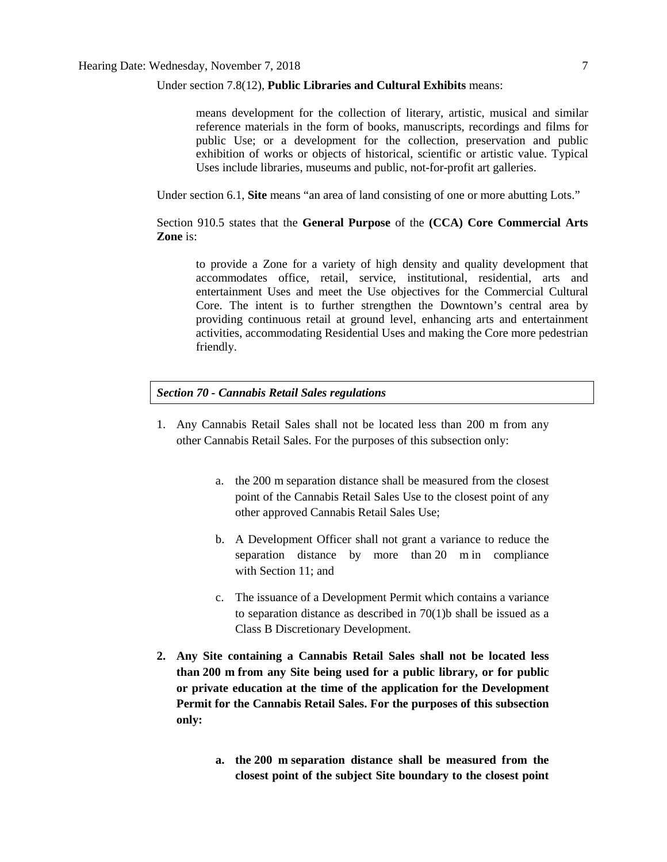#### Under section 7.8(12), **Public Libraries and Cultural Exhibits** means:

means development for the collection of literary, artistic, musical and similar reference materials in the form of books, manuscripts, recordings and films for public Use; or a development for the collection, preservation and public exhibition of works or objects of historical, scientific or artistic value. Typical Uses include libraries, museums and public, not-for-profit art galleries.

Under section 6.1, **Site** means "an area of land consisting of one or more abutting Lots."

Section 910.5 states that the **General Purpose** of the **(CCA) Core Commercial Arts Zone** is:

to provide a Zone for a variety of high density and quality development that accommodates office, retail, service, institutional, residential, arts and entertainment Uses and meet the Use objectives for the Commercial Cultural Core. The intent is to further strengthen the Downtown's central area by providing continuous retail at ground level, enhancing arts and entertainment activities, accommodating Residential Uses and making the Core more pedestrian friendly.

## *Section 70 - Cannabis Retail Sales regulations*

- 1. Any Cannabis Retail Sales shall not be located less than 200 m from any other Cannabis Retail Sales. For the purposes of this subsection only:
	- a. the [200 m](javascript:void(0);) separation distance shall be measured from the closest point of the Cannabis Retail Sales Use to the closest point of any other approved Cannabis Retail Sales Use;
	- b. A Development Officer shall not grant a variance to reduce the separation distance by more than [20 m](javascript:void(0);) in compliance with [Section 11;](https://webdocs.edmonton.ca/InfraPlan/zoningbylaw/ZoningBylaw/Part1/Administrative/11__Authority_and_Responsibility_of_the_Development_Officer.htm) and
	- c. The issuance of a Development Permit which contains a variance to separation distance as described in 70(1)b shall be issued as a Class B Discretionary Development.
- **2. Any Site containing a Cannabis Retail Sales shall not be located less than [200 m](javascript:void(0);) from any Site being used for a public library, or for public or private education at the time of the application for the Development Permit for the Cannabis Retail Sales. For the purposes of this subsection only:**
	- **a. the [200 m](javascript:void(0);) separation distance shall be measured from the closest point of the subject Site boundary to the closest point**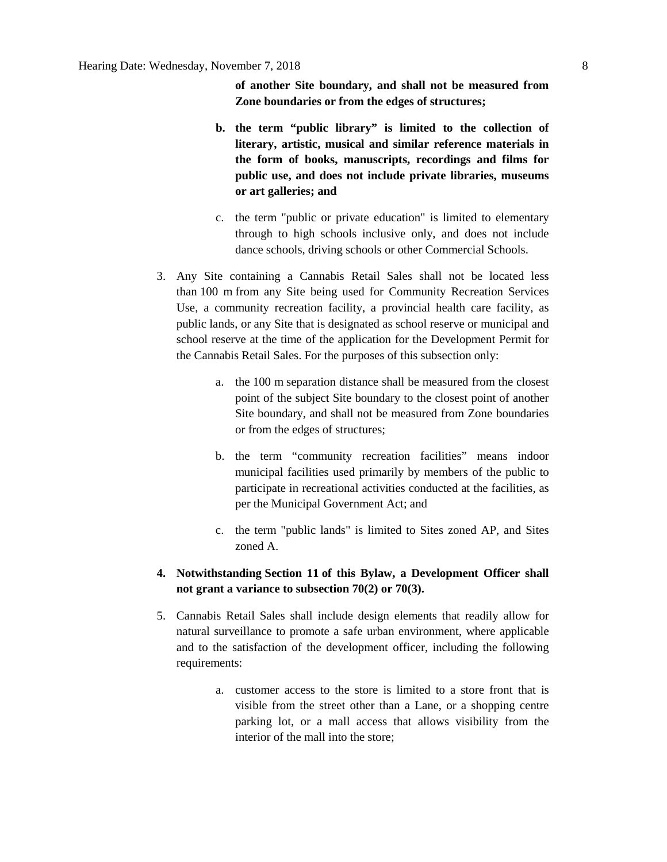**of another Site boundary, and shall not be measured from Zone boundaries or from the edges of structures;**

- **b. the term "public library" is limited to the collection of literary, artistic, musical and similar reference materials in the form of books, manuscripts, recordings and films for public use, and does not include private libraries, museums or art galleries; and**
- c. the term "public or private education" is limited to elementary through to high schools inclusive only, and does not include dance schools, driving schools or other Commercial Schools.
- 3. Any Site containing a Cannabis Retail Sales shall not be located less than [100 m](javascript:void(0);) from any Site being used for Community Recreation Services Use, a community recreation facility, a provincial health care facility, as public lands, or any Site that is designated as school reserve or municipal and school reserve at the time of the application for the Development Permit for the Cannabis Retail Sales. For the purposes of this subsection only:
	- a. the [100 m](javascript:void(0);) separation distance shall be measured from the closest point of the subject Site boundary to the closest point of another Site boundary, and shall not be measured from Zone boundaries or from the edges of structures;
	- b. the term "community recreation facilities" means indoor municipal facilities used primarily by members of the public to participate in recreational activities conducted at the facilities, as per the Municipal Government Act; and
	- c. the term "public lands" is limited to Sites zoned AP, and Sites zoned A.
- **4. Notwithstanding [Section 11](https://webdocs.edmonton.ca/InfraPlan/zoningbylaw/ZoningBylaw/Part1/Administrative/11__Authority_and_Responsibility_of_the_Development_Officer.htm) of this Bylaw, a Development Officer shall not grant a variance to subsection 70(2) or 70(3).**
- 5. Cannabis Retail Sales shall include design elements that readily allow for natural surveillance to promote a safe urban environment, where applicable and to the satisfaction of the development officer, including the following requirements:
	- a. customer access to the store is limited to a store front that is visible from the street other than a Lane, or a shopping centre parking lot, or a mall access that allows visibility from the interior of the mall into the store;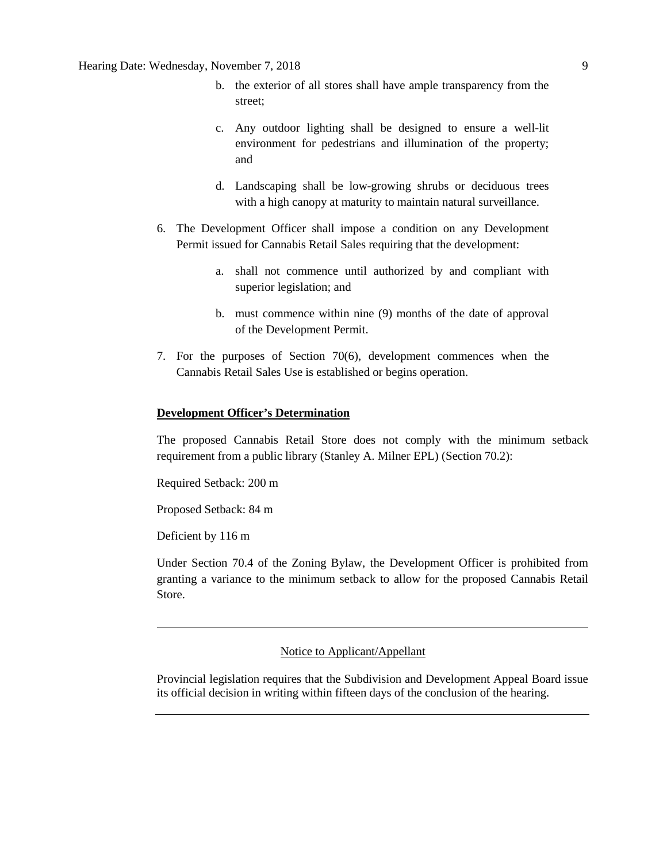- b. the exterior of all stores shall have ample transparency from the street;
- c. Any outdoor lighting shall be designed to ensure a well-lit environment for pedestrians and illumination of the property; and
- d. Landscaping shall be low-growing shrubs or deciduous trees with a high canopy at maturity to maintain natural surveillance.
- 6. The Development Officer shall impose a condition on any Development Permit issued for Cannabis Retail Sales requiring that the development:
	- a. shall not commence until authorized by and compliant with superior legislation; and
	- b. must commence within nine (9) months of the date of approval of the Development Permit.
- 7. For the purposes of Section 70(6), development commences when the Cannabis Retail Sales Use is established or begins operation.

## **Development Officer's Determination**

The proposed Cannabis Retail Store does not comply with the minimum setback requirement from a public library (Stanley A. Milner EPL) (Section 70.2):

Required Setback: 200 m

Proposed Setback: 84 m

Deficient by 116 m

Under Section 70.4 of the Zoning Bylaw, the Development Officer is prohibited from granting a variance to the minimum setback to allow for the proposed Cannabis Retail Store.

### Notice to Applicant/Appellant

Provincial legislation requires that the Subdivision and Development Appeal Board issue its official decision in writing within fifteen days of the conclusion of the hearing.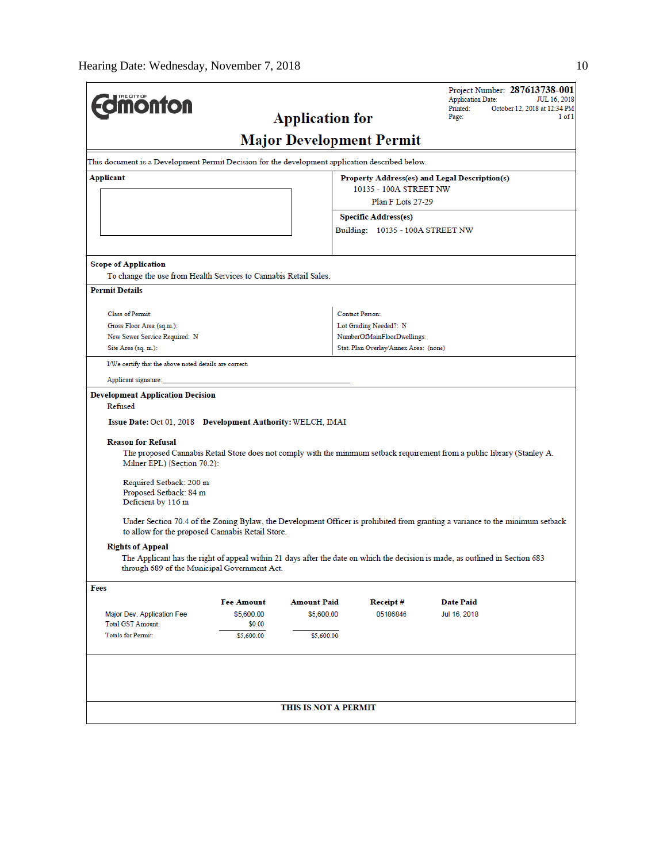|                                                                                                 |                   |                        |                                       | Project Number: 287613738-001<br><b>Application Date:</b>                                                                     | JUL 16, 2018 |
|-------------------------------------------------------------------------------------------------|-------------------|------------------------|---------------------------------------|-------------------------------------------------------------------------------------------------------------------------------|--------------|
| <b>dimonton</b>                                                                                 |                   | <b>Application for</b> |                                       | Printed:<br>October 12, 2018 at 12:34 PM<br>Page:                                                                             | 1 of 1       |
|                                                                                                 |                   |                        |                                       |                                                                                                                               |              |
|                                                                                                 |                   |                        | <b>Major Development Permit</b>       |                                                                                                                               |              |
| This document is a Development Permit Decision for the development application described below. |                   |                        |                                       |                                                                                                                               |              |
| Applicant                                                                                       |                   |                        |                                       | Property Address(es) and Legal Description(s)                                                                                 |              |
|                                                                                                 |                   |                        | 10135 - 100A STREET NW                |                                                                                                                               |              |
|                                                                                                 |                   |                        | Plan F Lots 27-29                     |                                                                                                                               |              |
|                                                                                                 |                   |                        | <b>Specific Address(es)</b>           |                                                                                                                               |              |
|                                                                                                 |                   |                        | Building: 10135 - 100A STREET NW      |                                                                                                                               |              |
| <b>Scope of Application</b>                                                                     |                   |                        |                                       |                                                                                                                               |              |
| To change the use from Health Services to Cannabis Retail Sales.                                |                   |                        |                                       |                                                                                                                               |              |
| <b>Permit Details</b>                                                                           |                   |                        |                                       |                                                                                                                               |              |
| Class of Permit:                                                                                |                   |                        | <b>Contact Person:</b>                |                                                                                                                               |              |
| Gross Floor Area (sq.m.):                                                                       |                   |                        | Lot Grading Needed?: N                |                                                                                                                               |              |
| New Sewer Service Required: N                                                                   |                   |                        | NumberOfMainFloorDwellings:           |                                                                                                                               |              |
| Site Area (sq. m.):                                                                             |                   |                        | Stat. Plan Overlay/Annex Area: (none) |                                                                                                                               |              |
| I/We certify that the above noted details are correct.                                          |                   |                        |                                       |                                                                                                                               |              |
| Applicant signature:                                                                            |                   |                        |                                       |                                                                                                                               |              |
| <b>Development Application Decision</b><br>Refused                                              |                   |                        |                                       |                                                                                                                               |              |
| Issue Date: Oct 01, 2018 Development Authority: WELCH, IMAI                                     |                   |                        |                                       |                                                                                                                               |              |
| <b>Reason for Refusal</b><br>Milner EPL) (Section 70.2):                                        |                   |                        |                                       | The proposed Cannabis Retail Store does not comply with the minimum setback requirement from a public library (Stanley A.     |              |
| Required Setback: 200 m<br>Proposed Setback: 84 m<br>Deficient by 116 m                         |                   |                        |                                       |                                                                                                                               |              |
| to allow for the proposed Cannabis Retail Store.                                                |                   |                        |                                       | Under Section 70.4 of the Zoning Bylaw, the Development Officer is prohibited from granting a variance to the minimum setback |              |
| <b>Rights of Appeal</b>                                                                         |                   |                        |                                       |                                                                                                                               |              |
| through 689 of the Municipal Government Act.                                                    |                   |                        |                                       | The Applicant has the right of appeal within 21 days after the date on which the decision is made, as outlined in Section 683 |              |
| Fees                                                                                            |                   |                        |                                       |                                                                                                                               |              |
|                                                                                                 | <b>Fee Amount</b> | <b>Amount Paid</b>     | Receipt#                              | <b>Date Paid</b>                                                                                                              |              |
| Major Dev. Application Fee                                                                      | \$5,600.00        | \$5,600.00             | 05186846                              | Jul 16, 2018                                                                                                                  |              |
| <b>Total GST Amount:</b>                                                                        | \$0.00            |                        |                                       |                                                                                                                               |              |
| <b>Totals for Permit:</b>                                                                       | \$5,600.00        | \$5,600.00             |                                       |                                                                                                                               |              |
|                                                                                                 |                   |                        |                                       |                                                                                                                               |              |
|                                                                                                 |                   | THIS IS NOT A PERMIT   |                                       |                                                                                                                               |              |
|                                                                                                 |                   |                        |                                       |                                                                                                                               |              |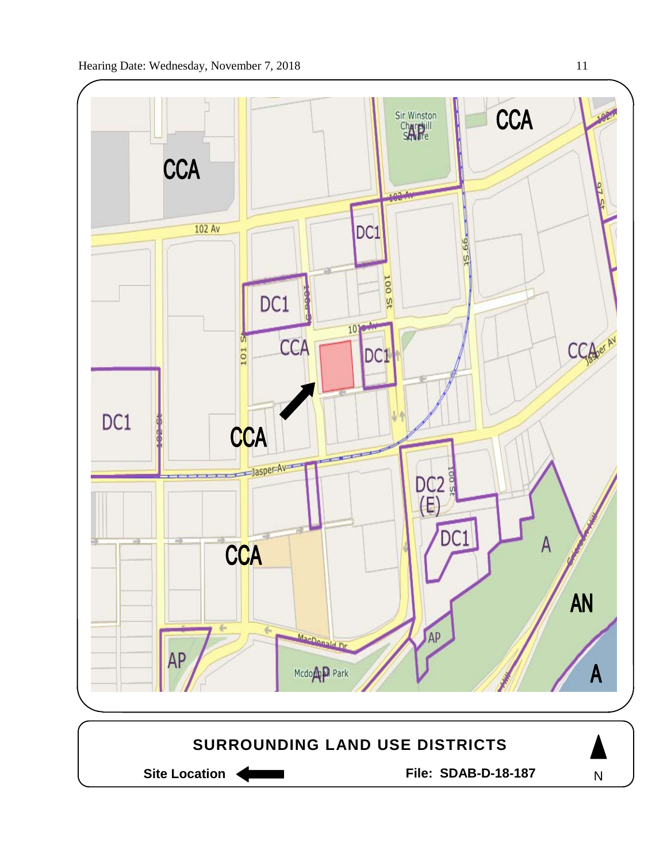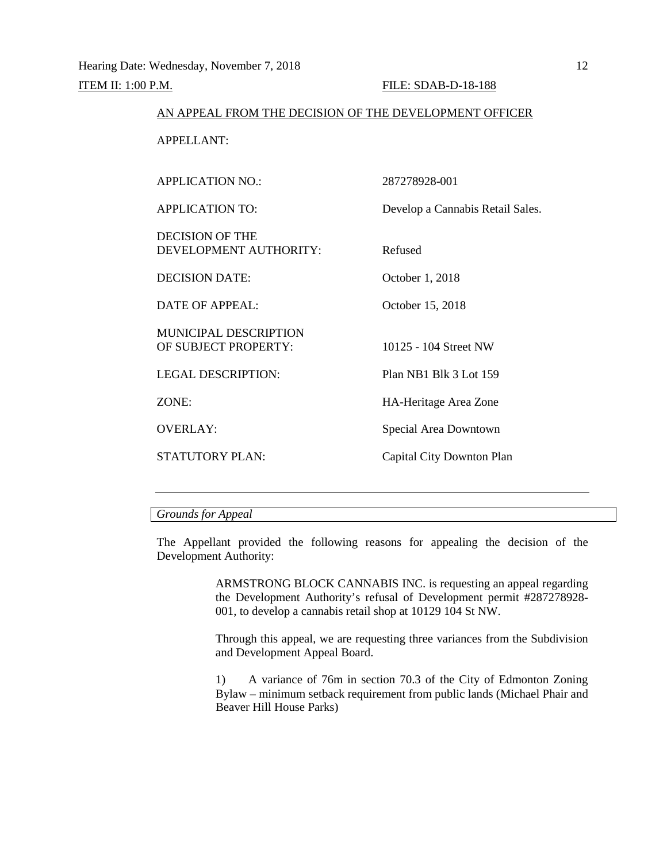#### AN APPEAL FROM THE DECISION OF THE DEVELOPMENT OFFICER

APPELLANT:

| <b>APPLICATION NO.:</b>                          | 287278928-001                    |
|--------------------------------------------------|----------------------------------|
| <b>APPLICATION TO:</b>                           | Develop a Cannabis Retail Sales. |
| <b>DECISION OF THE</b><br>DEVELOPMENT AUTHORITY: | Refused                          |
| <b>DECISION DATE:</b>                            | October 1, 2018                  |
| DATE OF APPEAL:                                  | October 15, 2018                 |
| MUNICIPAL DESCRIPTION<br>OF SUBJECT PROPERTY:    | 10125 - 104 Street NW            |
| LEGAL DESCRIPTION:                               | Plan NB1 Blk 3 Lot 159           |
| ZONE:                                            | HA-Heritage Area Zone            |
| <b>OVERLAY:</b>                                  | Special Area Downtown            |
| STATUTORY PLAN:                                  | Capital City Downton Plan        |
|                                                  |                                  |

# *Grounds for Appeal*

The Appellant provided the following reasons for appealing the decision of the Development Authority:

> ARMSTRONG BLOCK CANNABIS INC. is requesting an appeal regarding the Development Authority's refusal of Development permit #287278928- 001, to develop a cannabis retail shop at 10129 104 St NW.

> Through this appeal, we are requesting three variances from the Subdivision and Development Appeal Board.

> 1) A variance of 76m in section 70.3 of the City of Edmonton Zoning Bylaw – minimum setback requirement from public lands (Michael Phair and Beaver Hill House Parks)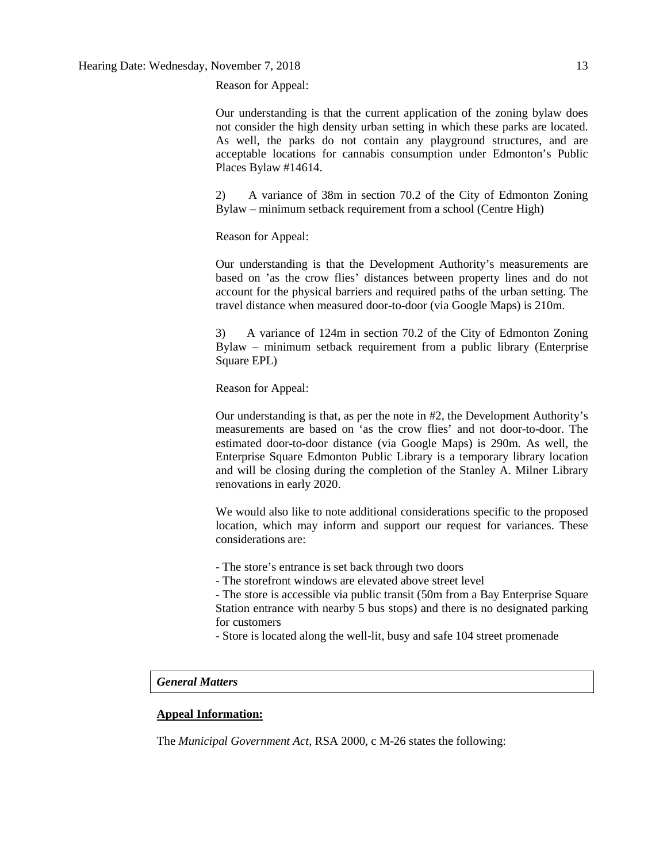Reason for Appeal:

Our understanding is that the current application of the zoning bylaw does not consider the high density urban setting in which these parks are located. As well, the parks do not contain any playground structures, and are acceptable locations for cannabis consumption under Edmonton's Public Places Bylaw #14614.

2) A variance of 38m in section 70.2 of the City of Edmonton Zoning Bylaw – minimum setback requirement from a school (Centre High)

Reason for Appeal:

Our understanding is that the Development Authority's measurements are based on 'as the crow flies' distances between property lines and do not account for the physical barriers and required paths of the urban setting. The travel distance when measured door-to-door (via Google Maps) is 210m.

3) A variance of 124m in section 70.2 of the City of Edmonton Zoning Bylaw – minimum setback requirement from a public library (Enterprise Square EPL)

Reason for Appeal:

Our understanding is that, as per the note in #2, the Development Authority's measurements are based on 'as the crow flies' and not door-to-door. The estimated door-to-door distance (via Google Maps) is 290m. As well, the Enterprise Square Edmonton Public Library is a temporary library location and will be closing during the completion of the Stanley A. Milner Library renovations in early 2020.

We would also like to note additional considerations specific to the proposed location, which may inform and support our request for variances. These considerations are:

- The store's entrance is set back through two doors

- The storefront windows are elevated above street level

- The store is accessible via public transit (50m from a Bay Enterprise Square Station entrance with nearby 5 bus stops) and there is no designated parking for customers

- Store is located along the well-lit, busy and safe 104 street promenade

# *General Matters*

## **Appeal Information:**

The *Municipal Government Act*, RSA 2000, c M-26 states the following: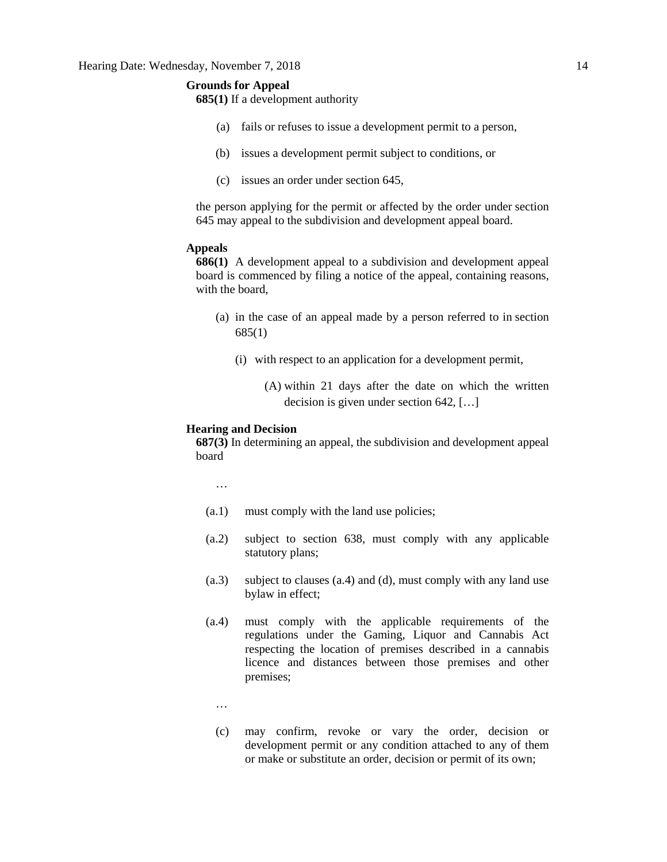## **Grounds for Appeal**

**685(1)** If a development authority

- (a) fails or refuses to issue a development permit to a person,
- (b) issues a development permit subject to conditions, or
- (c) issues an order under section 645,

the person applying for the permit or affected by the order under section 645 may appeal to the subdivision and development appeal board.

#### **Appeals**

**686(1)** A development appeal to a subdivision and development appeal board is commenced by filing a notice of the appeal, containing reasons, with the board,

- (a) in the case of an appeal made by a person referred to in section 685(1)
	- (i) with respect to an application for a development permit,
		- (A) within 21 days after the date on which the written decision is given under section 642, […]

#### **Hearing and Decision**

**687(3)** In determining an appeal, the subdivision and development appeal board

…

- (a.1) must comply with the land use policies;
- (a.2) subject to section 638, must comply with any applicable statutory plans;
- (a.3) subject to clauses (a.4) and (d), must comply with any land use bylaw in effect;
- (a.4) must comply with the applicable requirements of the regulations under the Gaming, Liquor and Cannabis Act respecting the location of premises described in a cannabis licence and distances between those premises and other premises;
	- …
	- (c) may confirm, revoke or vary the order, decision or development permit or any condition attached to any of them or make or substitute an order, decision or permit of its own;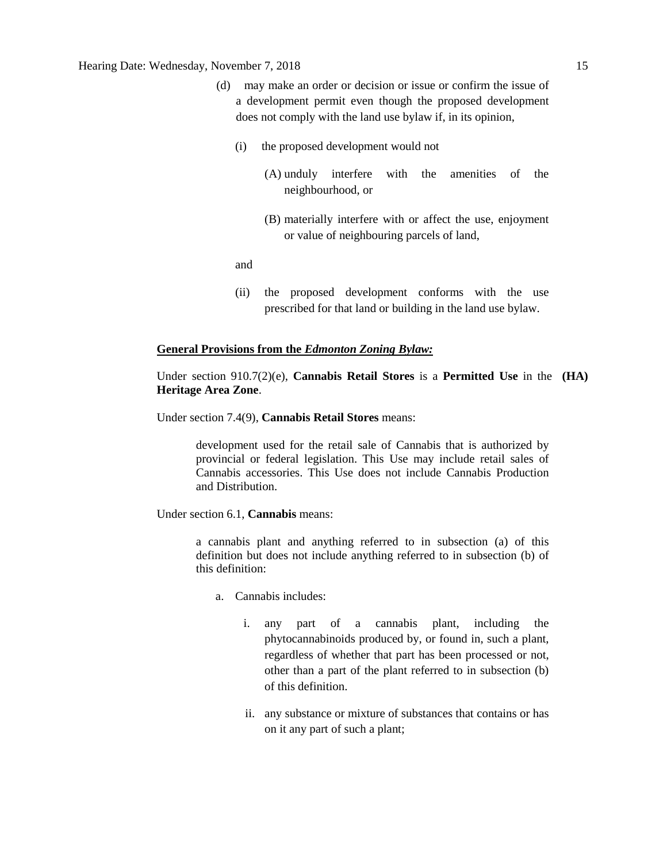# Hearing Date: Wednesday, November 7, 2018 15

- (d) may make an order or decision or issue or confirm the issue of a development permit even though the proposed development does not comply with the land use bylaw if, in its opinion,
	- (i) the proposed development would not
		- (A) unduly interfere with the amenities of the neighbourhood, or
		- (B) materially interfere with or affect the use, enjoyment or value of neighbouring parcels of land,

and

(ii) the proposed development conforms with the use prescribed for that land or building in the land use bylaw.

#### **General Provisions from the** *Edmonton Zoning Bylaw:*

Under section 910.7(2)(e), **Cannabis Retail Stores** is a **Permitted Use** in the **(HA) Heritage Area Zone**.

Under section 7.4(9), **Cannabis Retail Stores** means:

development used for the retail sale of Cannabis that is authorized by provincial or federal legislation. This Use may include retail sales of Cannabis accessories. This Use does not include Cannabis Production and Distribution.

Under section 6.1, **Cannabis** means:

a cannabis plant and anything referred to in subsection (a) of this definition but does not include anything referred to in subsection (b) of this definition:

- a. Cannabis includes:
	- i. any part of a cannabis plant, including the phytocannabinoids produced by, or found in, such a plant, regardless of whether that part has been processed or not, other than a part of the plant referred to in subsection (b) of this definition.
	- ii. any substance or mixture of substances that contains or has on it any part of such a plant;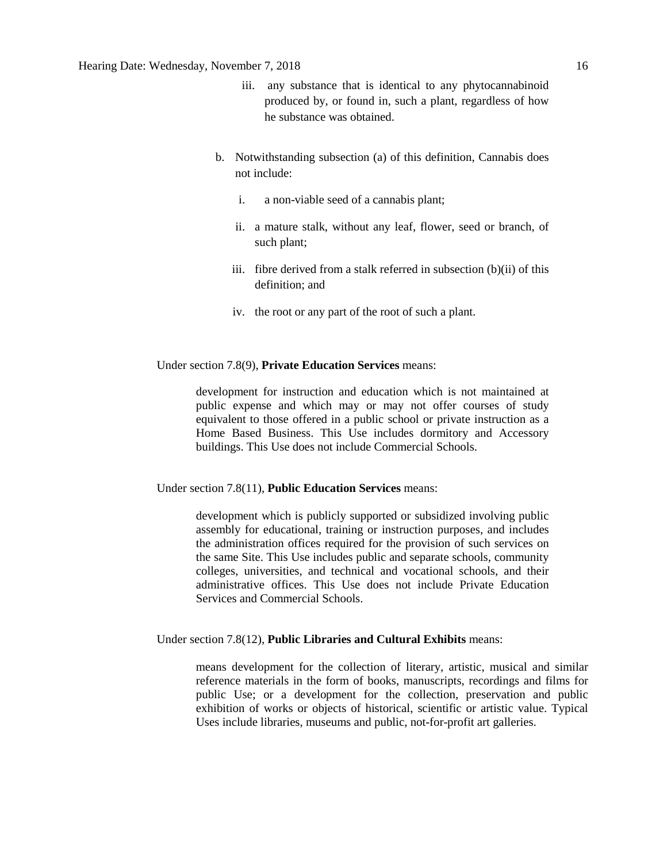- iii. any substance that is identical to any phytocannabinoid produced by, or found in, such a plant, regardless of how he substance was obtained.
- b. Notwithstanding subsection (a) of this definition, Cannabis does not include:
	- i. a non-viable seed of a cannabis plant;
	- ii. a mature stalk, without any leaf, flower, seed or branch, of such plant;
	- iii. fibre derived from a stalk referred in subsection (b)(ii) of this definition; and
	- iv. the root or any part of the root of such a plant.

## Under section 7.8(9), **Private Education Services** means:

development for instruction and education which is not maintained at public expense and which may or may not offer courses of study equivalent to those offered in a public school or private instruction as a Home Based Business. This Use includes dormitory and Accessory buildings. This Use does not include Commercial Schools.

### Under section 7.8(11), **Public Education Services** means:

development which is publicly supported or subsidized involving public assembly for educational, training or instruction purposes, and includes the administration offices required for the provision of such services on the same Site. This Use includes public and separate schools, community colleges, universities, and technical and vocational schools, and their administrative offices. This Use does not include Private Education Services and Commercial Schools.

## Under section 7.8(12), **Public Libraries and Cultural Exhibits** means:

means development for the collection of literary, artistic, musical and similar reference materials in the form of books, manuscripts, recordings and films for public Use; or a development for the collection, preservation and public exhibition of works or objects of historical, scientific or artistic value. Typical Uses include libraries, museums and public, not-for-profit art galleries.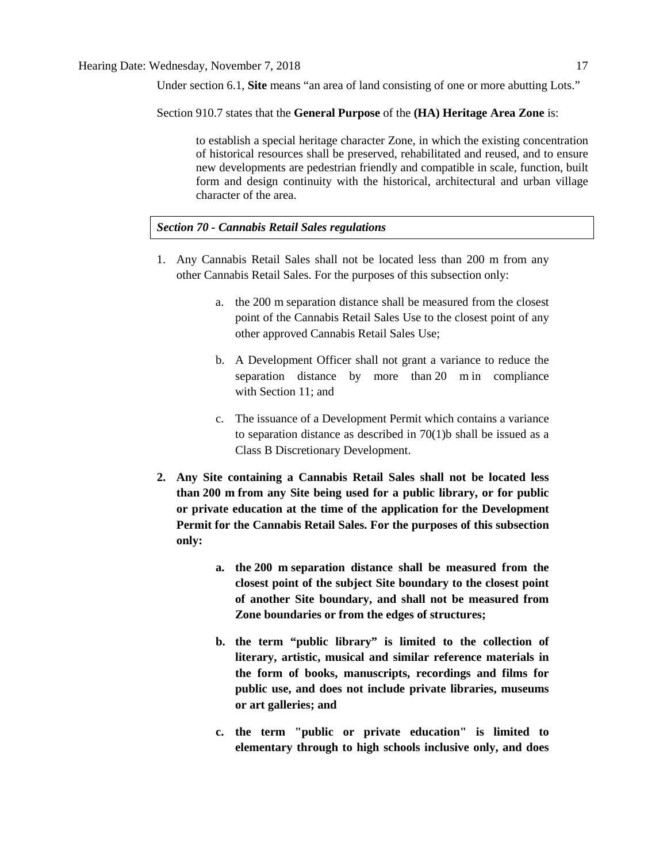Under section 6.1, **Site** means "an area of land consisting of one or more abutting Lots."

Section 910.7 states that the **General Purpose** of the **(HA) Heritage Area Zone** is:

to establish a special heritage character Zone, in which the existing concentration of historical resources shall be preserved, rehabilitated and reused, and to ensure new developments are pedestrian friendly and compatible in scale, function, built form and design continuity with the historical, architectural and urban village character of the area.

# *Section 70 - Cannabis Retail Sales regulations*

- 1. Any Cannabis Retail Sales shall not be located less than 200 m from any other Cannabis Retail Sales. For the purposes of this subsection only:
	- a. the [200 m](javascript:void(0);) separation distance shall be measured from the closest point of the Cannabis Retail Sales Use to the closest point of any other approved Cannabis Retail Sales Use;
	- b. A Development Officer shall not grant a variance to reduce the separation distance by more than [20 m](javascript:void(0);) in compliance with [Section 11;](https://webdocs.edmonton.ca/InfraPlan/zoningbylaw/ZoningBylaw/Part1/Administrative/11__Authority_and_Responsibility_of_the_Development_Officer.htm) and
	- c. The issuance of a Development Permit which contains a variance to separation distance as described in 70(1)b shall be issued as a Class B Discretionary Development.
- **2. Any Site containing a Cannabis Retail Sales shall not be located less than [200 m](javascript:void(0);) from any Site being used for a public library, or for public or private education at the time of the application for the Development Permit for the Cannabis Retail Sales. For the purposes of this subsection only:**
	- **a. the [200 m](javascript:void(0);) separation distance shall be measured from the closest point of the subject Site boundary to the closest point of another Site boundary, and shall not be measured from Zone boundaries or from the edges of structures;**
	- **b. the term "public library" is limited to the collection of literary, artistic, musical and similar reference materials in the form of books, manuscripts, recordings and films for public use, and does not include private libraries, museums or art galleries; and**
	- **c. the term "public or private education" is limited to elementary through to high schools inclusive only, and does**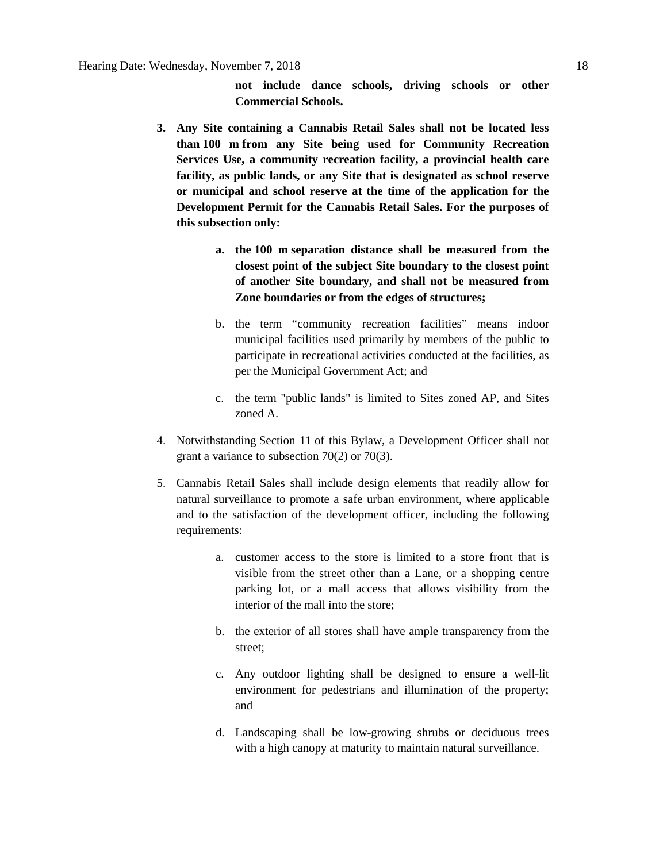**not include dance schools, driving schools or other Commercial Schools.**

- **3. Any Site containing a Cannabis Retail Sales shall not be located less than [100 m](javascript:void(0);) from any Site being used for Community Recreation Services Use, a community recreation facility, a provincial health care facility, as public lands, or any Site that is designated as school reserve or municipal and school reserve at the time of the application for the Development Permit for the Cannabis Retail Sales. For the purposes of this subsection only:**
	- **a. the [100 m](javascript:void(0);) separation distance shall be measured from the closest point of the subject Site boundary to the closest point of another Site boundary, and shall not be measured from Zone boundaries or from the edges of structures;**
	- b. the term "community recreation facilities" means indoor municipal facilities used primarily by members of the public to participate in recreational activities conducted at the facilities, as per the Municipal Government Act; and
	- c. the term "public lands" is limited to Sites zoned AP, and Sites zoned A.
- 4. Notwithstanding [Section 11](https://webdocs.edmonton.ca/InfraPlan/zoningbylaw/ZoningBylaw/Part1/Administrative/11__Authority_and_Responsibility_of_the_Development_Officer.htm) of this Bylaw, a Development Officer shall not grant a variance to subsection 70(2) or 70(3).
- 5. Cannabis Retail Sales shall include design elements that readily allow for natural surveillance to promote a safe urban environment, where applicable and to the satisfaction of the development officer, including the following requirements:
	- a. customer access to the store is limited to a store front that is visible from the street other than a Lane, or a shopping centre parking lot, or a mall access that allows visibility from the interior of the mall into the store;
	- b. the exterior of all stores shall have ample transparency from the street;
	- c. Any outdoor lighting shall be designed to ensure a well-lit environment for pedestrians and illumination of the property; and
	- d. Landscaping shall be low-growing shrubs or deciduous trees with a high canopy at maturity to maintain natural surveillance.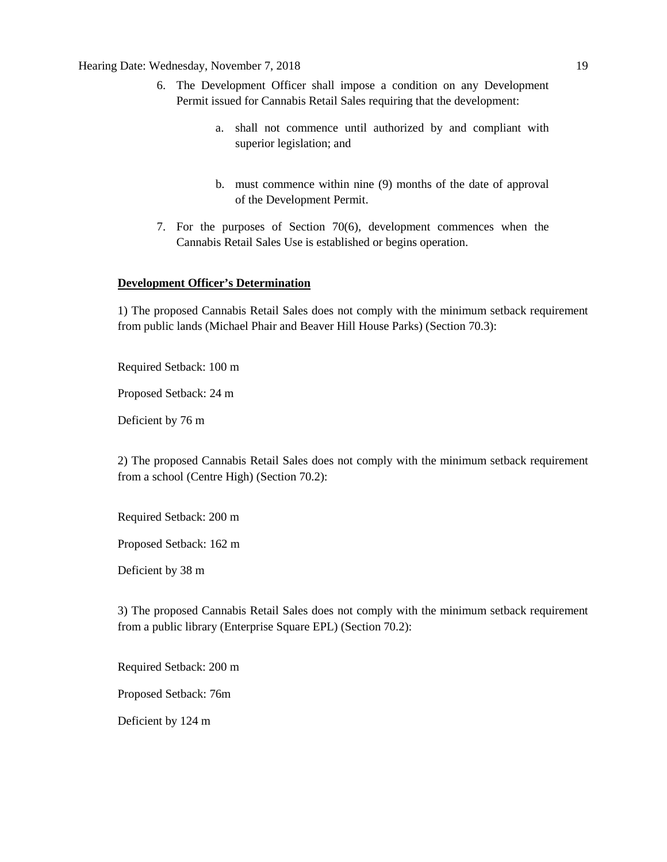# Hearing Date: Wednesday, November 7, 2018 19

- 6. The Development Officer shall impose a condition on any Development Permit issued for Cannabis Retail Sales requiring that the development:
	- a. shall not commence until authorized by and compliant with superior legislation; and
	- b. must commence within nine (9) months of the date of approval of the Development Permit.
- 7. For the purposes of Section 70(6), development commences when the Cannabis Retail Sales Use is established or begins operation.

# **Development Officer's Determination**

1) The proposed Cannabis Retail Sales does not comply with the minimum setback requirement from public lands (Michael Phair and Beaver Hill House Parks) (Section 70.3):

Required Setback: 100 m

Proposed Setback: 24 m

Deficient by 76 m

2) The proposed Cannabis Retail Sales does not comply with the minimum setback requirement from a school (Centre High) (Section 70.2):

Required Setback: 200 m

Proposed Setback: 162 m

Deficient by 38 m

3) The proposed Cannabis Retail Sales does not comply with the minimum setback requirement from a public library (Enterprise Square EPL) (Section 70.2):

Required Setback: 200 m

Proposed Setback: 76m

Deficient by 124 m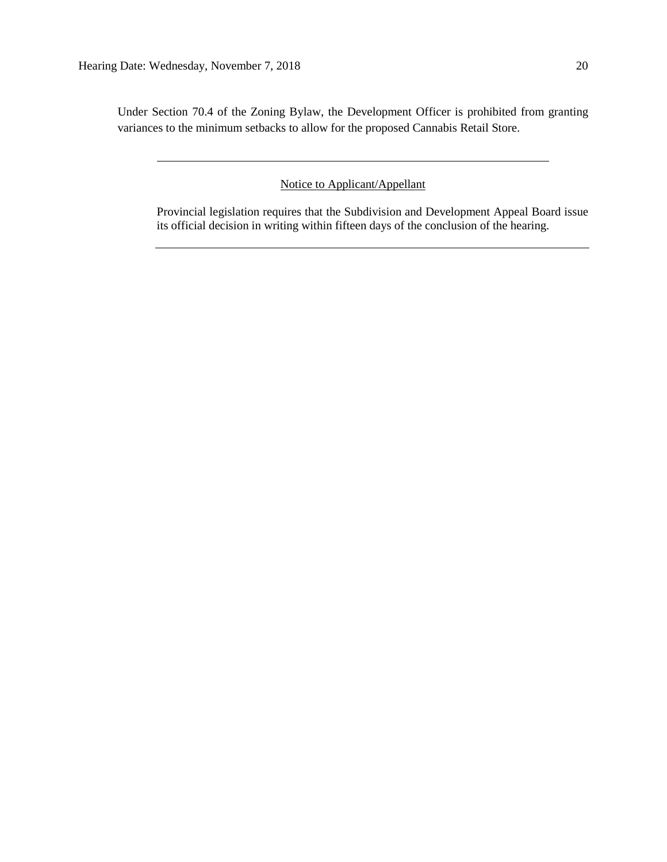Under Section 70.4 of the Zoning Bylaw, the Development Officer is prohibited from granting variances to the minimum setbacks to allow for the proposed Cannabis Retail Store.

Notice to Applicant/Appellant

Provincial legislation requires that the Subdivision and Development Appeal Board issue its official decision in writing within fifteen days of the conclusion of the hearing.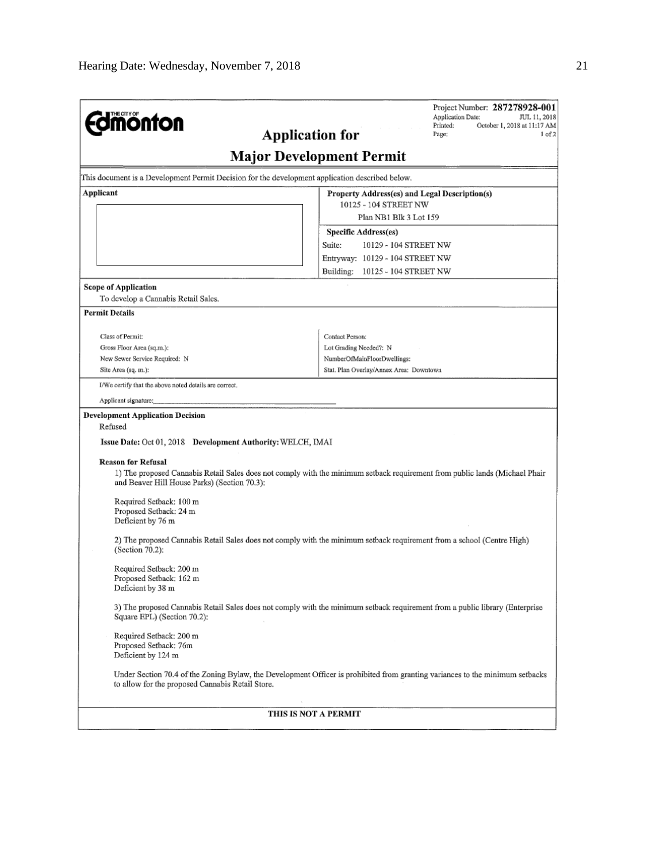| <b>Imonton</b><br><b>Application for</b>                                                                                                                                                                                                                                        | Project Number: 287278928-001<br>Application Date:<br>JUL 11, 2018<br>Printed:<br>October 1, 2018 at 11:17 AM<br>Page:<br>1 of 2     |
|---------------------------------------------------------------------------------------------------------------------------------------------------------------------------------------------------------------------------------------------------------------------------------|--------------------------------------------------------------------------------------------------------------------------------------|
|                                                                                                                                                                                                                                                                                 | <b>Major Development Permit</b>                                                                                                      |
| This document is a Development Permit Decision for the development application described below.                                                                                                                                                                                 |                                                                                                                                      |
| Applicant                                                                                                                                                                                                                                                                       | Property Address(es) and Legal Description(s)<br>10125 - 104 STREET NW<br>Plan NB1 Blk 3 Lot 159                                     |
|                                                                                                                                                                                                                                                                                 | <b>Specific Address(es)</b><br>Suite:<br>10129 - 104 STREET NW<br>Entryway: 10129 - 104 STREET NW<br>Building: 10125 - 104 STREET NW |
| <b>Scope of Application</b><br>To develop a Cannabis Retail Sales.                                                                                                                                                                                                              |                                                                                                                                      |
| <b>Permit Details</b>                                                                                                                                                                                                                                                           |                                                                                                                                      |
| Class of Permit:<br>Gross Floor Area (sq.m.):<br>New Sewer Service Required: N<br>Site Area (sq. m.):                                                                                                                                                                           | Contact Person:<br>Lot Grading Needed?: N<br>NumberOfMainFloorDwellings:<br>Stat, Plan Overlay/Annex Area; Downtown                  |
| I/We certify that the above noted details are correct.                                                                                                                                                                                                                          |                                                                                                                                      |
| Applicant signature:                                                                                                                                                                                                                                                            |                                                                                                                                      |
| <b>Development Application Decision</b><br>Refused<br><b>Issue Date:</b> Oct 01, 2018 Development Authority: WELCH, IMAI<br><b>Reason for Refusal</b><br>and Beaver Hill House Parks) (Section 70.3):<br>Required Setback: 100 m<br>Proposed Setback: 24 m<br>Deficient by 76 m | 1) The proposed Cannabis Retail Sales does not comply with the minimum setback requirement from public lands (Michael Phair          |
| (Section 70.2):<br>Required Setback: 200 m<br>Proposed Setback: 162 m<br>Deficient by 38 m                                                                                                                                                                                      | 2) The proposed Cannabis Retail Sales does not comply with the minimum setback requirement from a school (Centre High)               |
| Square EPL) (Section 70.2):                                                                                                                                                                                                                                                     | 3) The proposed Cannabis Retail Sales does not comply with the minimum setback requirement from a public library (Enterprise         |
| Required Setback: 200 m<br>Proposed Setback: 76m<br>Deficient by 124 m<br>to allow for the proposed Cannabis Retail Store.                                                                                                                                                      | Under Section 70.4 of the Zoning Bylaw, the Development Officer is prohibited from granting variances to the minimum setbacks        |
| THIS IS NOT A PERMIT                                                                                                                                                                                                                                                            |                                                                                                                                      |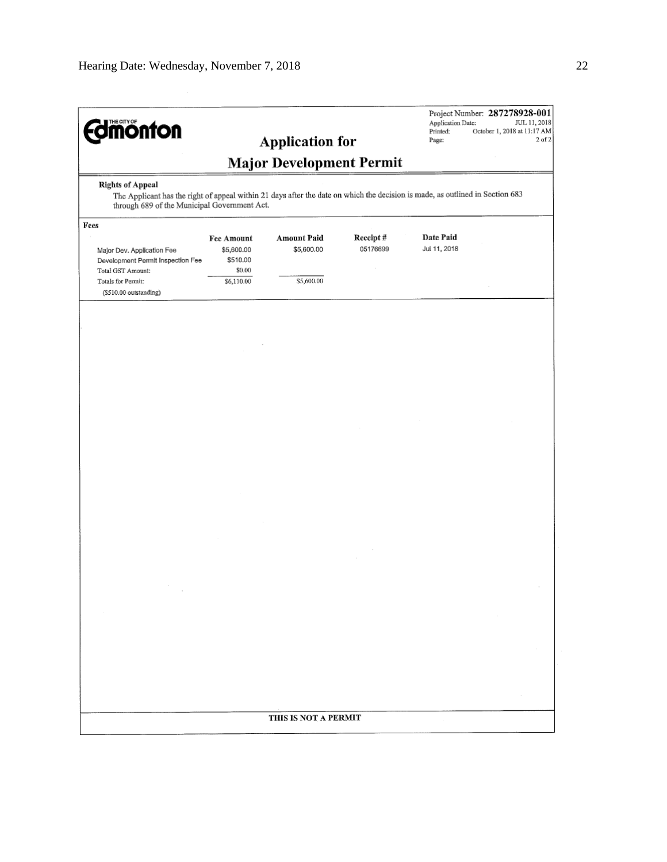| <b>dimonton</b>                                                                                                                                                               |                                                       | <b>Application for</b> |          | Application Date:<br>Printed:<br>Page: | Project Number: 287278928-001<br>JUL 11, 2018<br>October 1, 2018 at 11:17 AM |
|-------------------------------------------------------------------------------------------------------------------------------------------------------------------------------|-------------------------------------------------------|------------------------|----------|----------------------------------------|------------------------------------------------------------------------------|
| <b>Major Development Permit</b><br><b>Rights of Appeal</b>                                                                                                                    |                                                       |                        |          |                                        |                                                                              |
| The Applicant has the right of appeal within 21 days after the date on which the decision is made, as outlined in Section 683<br>through 689 of the Municipal Government Act. |                                                       |                        |          |                                        |                                                                              |
| Fees                                                                                                                                                                          |                                                       | <b>Amount Paid</b>     | Receipt# | Date Paid                              |                                                                              |
| Major Dev. Application Fee<br>Development Permit Inspection Fee<br>Total GST Amount:                                                                                          | <b>Fee Amount</b><br>\$5,600.00<br>\$510.00<br>\$0.00 | \$5,600.00             | 05176699 | Jul 11, 2018                           |                                                                              |
| Totals for Permit:<br>(\$510.00 outstanding)                                                                                                                                  | \$6,110.00                                            | \$5,600.00             |          |                                        |                                                                              |
|                                                                                                                                                                               |                                                       |                        |          |                                        |                                                                              |
|                                                                                                                                                                               |                                                       |                        |          |                                        |                                                                              |
|                                                                                                                                                                               |                                                       |                        |          |                                        |                                                                              |
|                                                                                                                                                                               |                                                       |                        |          |                                        |                                                                              |
|                                                                                                                                                                               |                                                       |                        |          |                                        |                                                                              |
|                                                                                                                                                                               |                                                       |                        |          |                                        |                                                                              |
|                                                                                                                                                                               |                                                       |                        |          |                                        |                                                                              |
|                                                                                                                                                                               |                                                       |                        |          |                                        |                                                                              |
|                                                                                                                                                                               |                                                       |                        |          |                                        |                                                                              |
|                                                                                                                                                                               |                                                       |                        |          |                                        |                                                                              |
|                                                                                                                                                                               |                                                       |                        |          |                                        |                                                                              |
|                                                                                                                                                                               |                                                       |                        |          |                                        |                                                                              |
|                                                                                                                                                                               |                                                       |                        |          |                                        |                                                                              |
|                                                                                                                                                                               |                                                       |                        |          |                                        |                                                                              |
|                                                                                                                                                                               |                                                       |                        |          |                                        |                                                                              |
|                                                                                                                                                                               |                                                       |                        |          |                                        |                                                                              |
|                                                                                                                                                                               |                                                       |                        |          |                                        |                                                                              |
|                                                                                                                                                                               |                                                       | THIS IS NOT A PERMIT   |          |                                        |                                                                              |